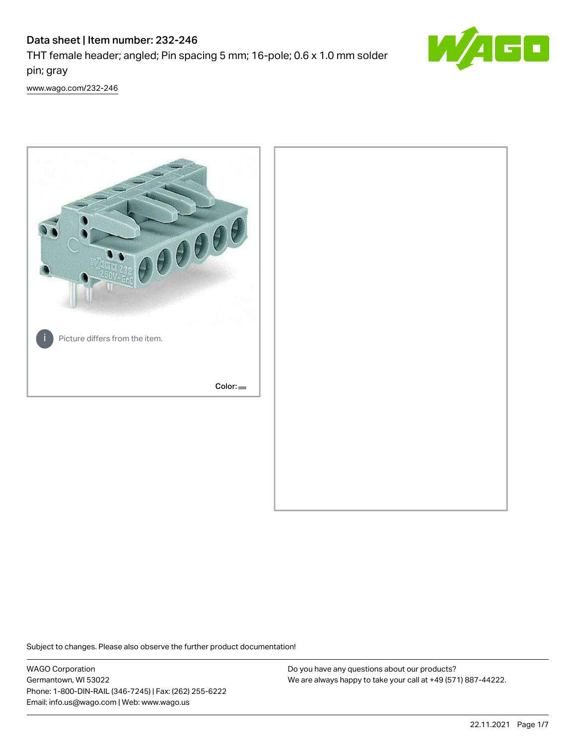# Data sheet | Item number: 232-246

THT female header; angled; Pin spacing 5 mm; 16-pole; 0.6 x 1.0 mm solder pin; gray



[www.wago.com/232-246](http://www.wago.com/232-246)



Subject to changes. Please also observe the further product documentation!

WAGO Corporation Germantown, WI 53022 Phone: 1-800-DIN-RAIL (346-7245) | Fax: (262) 255-6222 Email: info.us@wago.com | Web: www.wago.us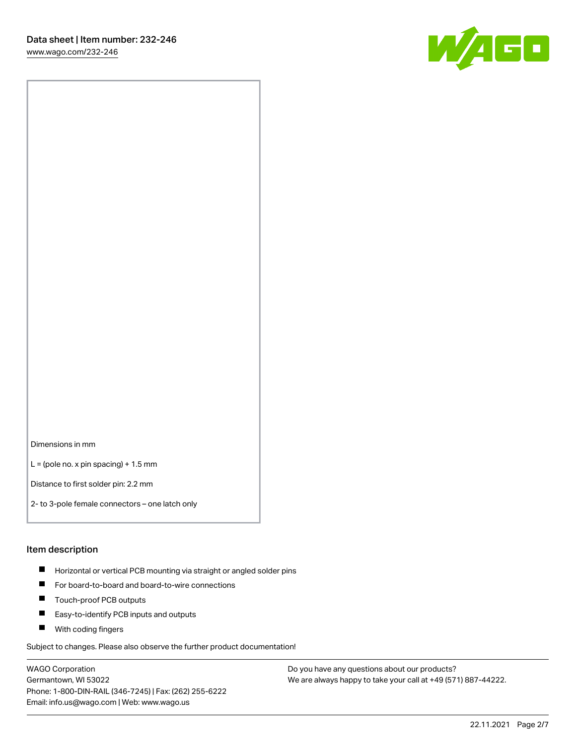W/160

Dimensions in mm

 $L =$  (pole no. x pin spacing) + 1.5 mm

Distance to first solder pin: 2.2 mm

2- to 3-pole female connectors – one latch only

#### Item description

- **Horizontal or vertical PCB mounting via straight or angled solder pins**
- For board-to-board and board-to-wire connections
- $\blacksquare$ Touch-proof PCB outputs
- $\blacksquare$ Easy-to-identify PCB inputs and outputs
- **Now With coding fingers**

Subject to changes. Please also observe the further product documentation!

WAGO Corporation Germantown, WI 53022 Phone: 1-800-DIN-RAIL (346-7245) | Fax: (262) 255-6222 Email: info.us@wago.com | Web: www.wago.us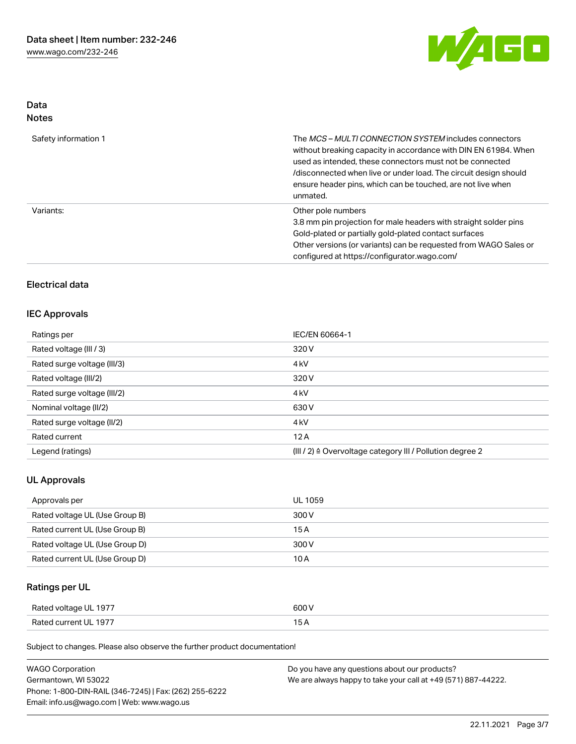

## Data Notes

| Safety information 1 | The MCS-MULTI CONNECTION SYSTEM includes connectors<br>without breaking capacity in accordance with DIN EN 61984. When<br>used as intended, these connectors must not be connected<br>/disconnected when live or under load. The circuit design should<br>ensure header pins, which can be touched, are not live when<br>unmated. |
|----------------------|-----------------------------------------------------------------------------------------------------------------------------------------------------------------------------------------------------------------------------------------------------------------------------------------------------------------------------------|
| Variants:            | Other pole numbers<br>3.8 mm pin projection for male headers with straight solder pins<br>Gold-plated or partially gold-plated contact surfaces<br>Other versions (or variants) can be requested from WAGO Sales or<br>configured at https://configurator.wago.com/                                                               |

## Electrical data

## IEC Approvals

| Ratings per                 | IEC/EN 60664-1                                                       |
|-----------------------------|----------------------------------------------------------------------|
| Rated voltage (III / 3)     | 320 V                                                                |
| Rated surge voltage (III/3) | 4 <sub>k</sub> V                                                     |
| Rated voltage (III/2)       | 320 V                                                                |
| Rated surge voltage (III/2) | 4 <sub>k</sub> V                                                     |
| Nominal voltage (II/2)      | 630 V                                                                |
| Rated surge voltage (II/2)  | 4 <sub>k</sub> V                                                     |
| Rated current               | 12A                                                                  |
| Legend (ratings)            | (III / 2) $\triangleq$ Overvoltage category III / Pollution degree 2 |

## UL Approvals

| Approvals per                  | <b>UL 1059</b> |
|--------------------------------|----------------|
| Rated voltage UL (Use Group B) | 300 V          |
| Rated current UL (Use Group B) | 15 A           |
| Rated voltage UL (Use Group D) | 300 V          |
| Rated current UL (Use Group D) | 10 A           |

# Ratings per UL

| Rated voltage UL 1977 | 600 V |
|-----------------------|-------|
| Rated current UL 1977 |       |

Subject to changes. Please also observe the further product documentation!

| <b>WAGO Corporation</b>                                | Do you have any questions about our products?                 |
|--------------------------------------------------------|---------------------------------------------------------------|
| Germantown, WI 53022                                   | We are always happy to take your call at +49 (571) 887-44222. |
| Phone: 1-800-DIN-RAIL (346-7245)   Fax: (262) 255-6222 |                                                               |
| Email: info.us@wago.com   Web: www.wago.us             |                                                               |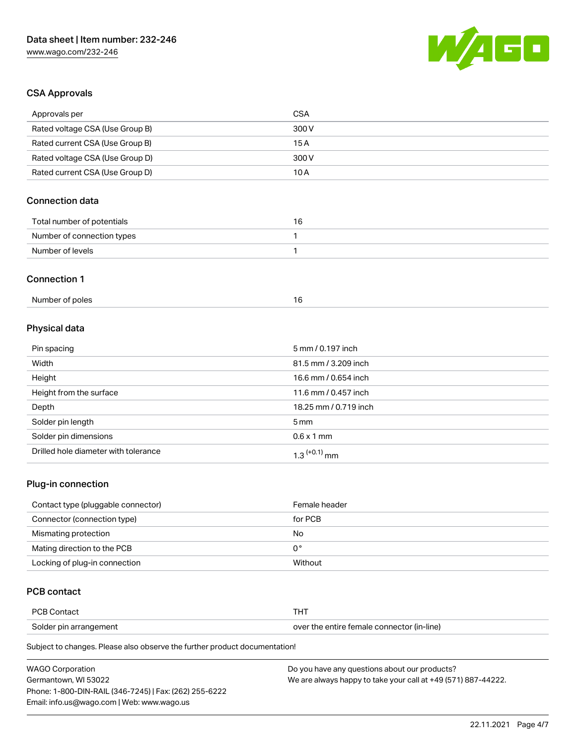

## CSA Approvals

| Approvals per                          | <b>CSA</b>            |
|----------------------------------------|-----------------------|
| Rated voltage CSA (Use Group B)        | 300V                  |
| Rated current CSA (Use Group B)        | 15A                   |
| Rated voltage CSA (Use Group D)        | 300V                  |
| Rated current CSA (Use Group D)        | 10A                   |
| <b>Connection data</b>                 |                       |
| Total number of potentials             | 16                    |
| Number of connection types             | 1                     |
| Number of levels                       | $\mathbf{1}$          |
| <b>Connection 1</b><br>Number of poles | 16                    |
| Physical data                          |                       |
| Pin spacing                            | 5 mm / 0.197 inch     |
| Width                                  | 81.5 mm / 3.209 inch  |
| Height                                 | 16.6 mm / 0.654 inch  |
| Height from the surface                | 11.6 mm / 0.457 inch  |
| Depth                                  | 18.25 mm / 0.719 inch |
| Solder pin length                      | 5 <sub>mm</sub>       |
| Solder pin dimensions                  | $0.6 \times 1$ mm     |
| Drilled hole diameter with tolerance   | $1.3$ $(+0.1)$ mm     |

## Plug-in connection

| Contact type (pluggable connector) | Female header |
|------------------------------------|---------------|
| Connector (connection type)        | for PCB       |
| Mismating protection               | No            |
| Mating direction to the PCB        | 0°            |
| Locking of plug-in connection      | Without       |

## PCB contact

| PCB Contact            |                                            |
|------------------------|--------------------------------------------|
| Solder pin arrangement | over the entire female connector (in-line) |

Subject to changes. Please also observe the further product documentation!

| <b>WAGO Corporation</b>                                | Do you have any questions about our products?                 |
|--------------------------------------------------------|---------------------------------------------------------------|
| Germantown, WI 53022                                   | We are always happy to take your call at +49 (571) 887-44222. |
| Phone: 1-800-DIN-RAIL (346-7245)   Fax: (262) 255-6222 |                                                               |
| Email: info.us@wago.com   Web: www.wago.us             |                                                               |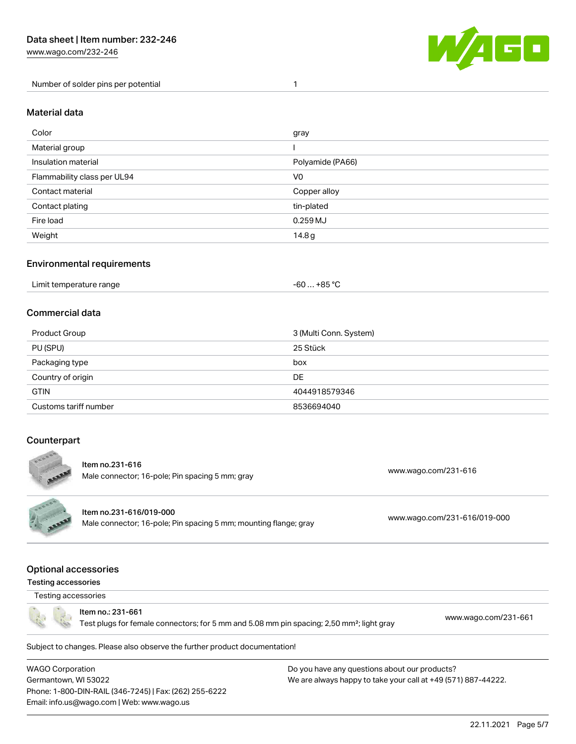[www.wago.com/232-246](http://www.wago.com/232-246)

Number of solder pins per potential 1



#### Material data

| Color                       | gray             |
|-----------------------------|------------------|
| Material group              |                  |
| Insulation material         | Polyamide (PA66) |
| Flammability class per UL94 | V <sub>0</sub>   |
| Contact material            | Copper alloy     |
| Contact plating             | tin-plated       |
| Fire load                   | $0.259$ MJ       |
| Weight                      | 14.8g            |

## Environmental requirements

## Commercial data

| Product Group         | 3 (Multi Conn. System) |
|-----------------------|------------------------|
| PU (SPU)              | 25 Stück               |
| Packaging type        | box                    |
| Country of origin     | <b>DE</b>              |
| <b>GTIN</b>           | 4044918579346          |
| Customs tariff number | 8536694040             |

## **Counterpart**



Subject to changes. Please also observe the further product documentation!

WAGO Corporation Germantown, WI 53022 Phone: 1-800-DIN-RAIL (346-7245) | Fax: (262) 255-6222 Email: info.us@wago.com | Web: www.wago.us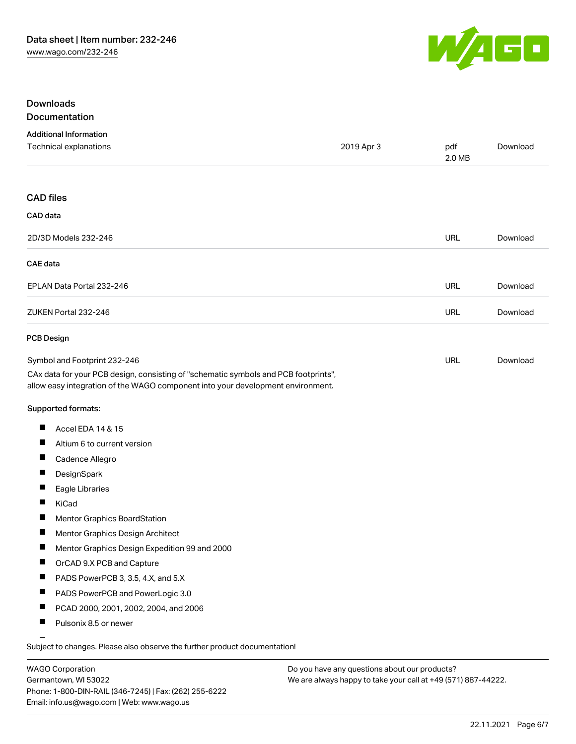

## Downloads Documentation

## Additional Information Technical explanations 2019 Apr 3 pdf [Download](https://www.wago.com/global/d/1435602) 2.0 MB CAD files CAD data 2D/3D Models 232-246 URL [Download](https://www.wago.com/global/d/3D_URLS_232-246) CAE data EPLAN Data Portal 232-246 URL [Download](https://www.wago.com/global/d/EPLAN_URLS_232-246) ZUKEN Portal 232-246 URL [Download](https://www.wago.com/global/d/Zuken_URLS_232-246) PCB Design Symbol and Footprint 232-246 URL [Download](https://www.wago.com/global/d/UltraLibrarian_URLS_232-246)CAx data for your PCB design, consisting of "schematic symbols and PCB footprints", allow easy integration of the WAGO component into your development environment. Supported formats:  $\blacksquare$ Accel EDA 14 & 15 П Altium 6 to current version П Cadence Allegro П DesignSpark  $\blacksquare$ Eagle Libraries  $\blacksquare$ KiCad  $\blacksquare$ Mentor Graphics BoardStation П Mentor Graphics Design Architect П Mentor Graphics Design Expedition 99 and 2000  $\blacksquare$ OrCAD 9.X PCB and Capture  $\blacksquare$ PADS PowerPCB 3, 3.5, 4.X, and 5.X  $\blacksquare$ PADS PowerPCB and PowerLogic 3.0 П PCAD 2000, 2001, 2002, 2004, and 2006 П Pulsonix 8.5 or newer

Subject to changes. Please also observe the further product documentation!

WAGO Corporation Germantown, WI 53022 Phone: 1-800-DIN-RAIL (346-7245) | Fax: (262) 255-6222 Email: info.us@wago.com | Web: www.wago.us